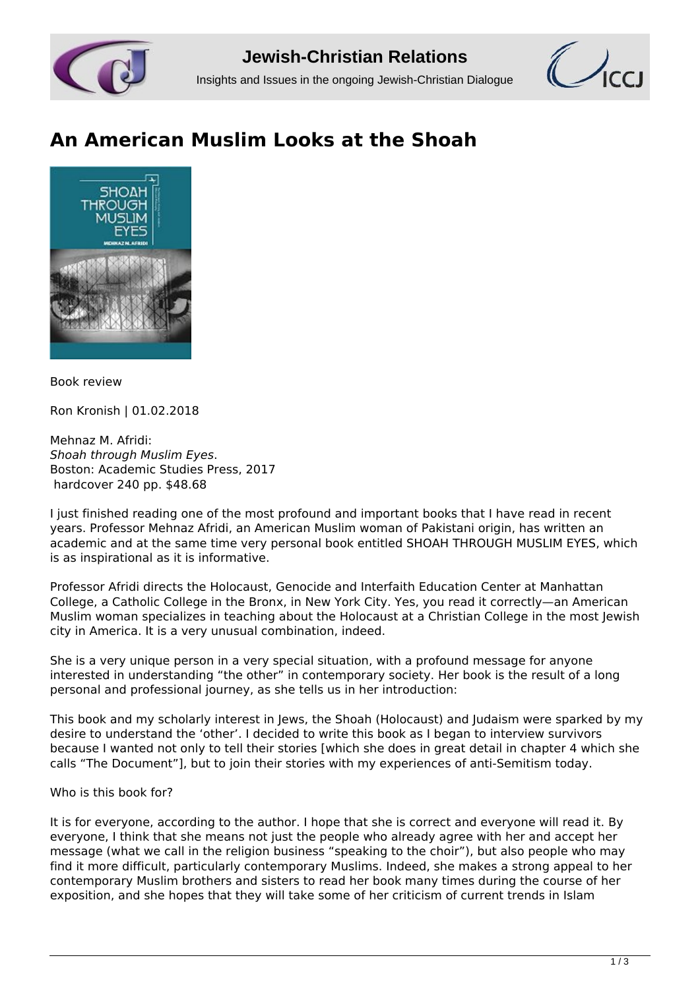

Insights and Issues in the ongoing Jewish-Christian Dialogue



## **[An American Muslim Looks at the Shoah](http://www.jcrelations.net/An_American_Muslim_Looks_at_the_Shoah.5934.0.html?L=3)**



Book review

Ron Kronish | 01.02.2018

Mehnaz M. Afridi: *Shoah through Muslim Eyes*. Boston: Academic Studies Press, 2017 hardcover 240 pp. \$48.68

I just finished reading one of the most profound and important books that I have read in recent years. Professor Mehnaz Afridi, an American Muslim woman of Pakistani origin, has written an academic and at the same time very personal book entitled SHOAH THROUGH MUSLIM EYES, which is as inspirational as it is informative.

Professor Afridi directs the Holocaust, Genocide and Interfaith Education Center at Manhattan College, a Catholic College in the Bronx, in New York City. Yes, you read it correctly—an American Muslim woman specializes in teaching about the Holocaust at a Christian College in the most Jewish city in America. It is a very unusual combination, indeed.

She is a very unique person in a very special situation, with a profound message for anyone interested in understanding "the other" in contemporary society. Her book is the result of a long personal and professional journey, as she tells us in her introduction:

This book and my scholarly interest in Jews, the Shoah (Holocaust) and Judaism were sparked by my desire to understand the 'other'. I decided to write this book as I began to interview survivors because I wanted not only to tell their stories [which she does in great detail in chapter 4 which she calls "The Document"], but to join their stories with my experiences of anti-Semitism today.

## Who is this book for?

It is for everyone, according to the author. I hope that she is correct and everyone will read it. By everyone, I think that she means not just the people who already agree with her and accept her message (what we call in the religion business "speaking to the choir"), but also people who may find it more difficult, particularly contemporary Muslims. Indeed, she makes a strong appeal to her contemporary Muslim brothers and sisters to read her book many times during the course of her exposition, and she hopes that they will take some of her criticism of current trends in Islam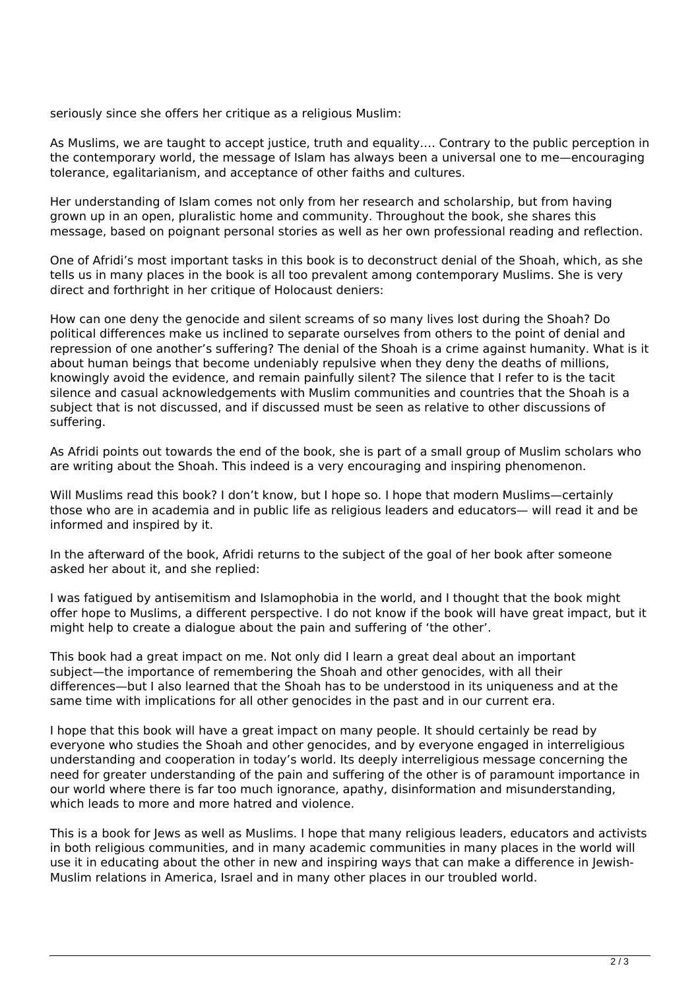seriously since she offers her critique as a religious Muslim:

As Muslims, we are taught to accept justice, truth and equality…. Contrary to the public perception in the contemporary world, the message of Islam has always been a universal one to me—encouraging tolerance, egalitarianism, and acceptance of other faiths and cultures.

Her understanding of Islam comes not only from her research and scholarship, but from having grown up in an open, pluralistic home and community. Throughout the book, she shares this message, based on poignant personal stories as well as her own professional reading and reflection.

One of Afridi's most important tasks in this book is to deconstruct denial of the Shoah, which, as she tells us in many places in the book is all too prevalent among contemporary Muslims. She is very direct and forthright in her critique of Holocaust deniers:

How can one deny the genocide and silent screams of so many lives lost during the Shoah? Do political differences make us inclined to separate ourselves from others to the point of denial and repression of one another's suffering? The denial of the Shoah is a crime against humanity. What is it about human beings that become undeniably repulsive when they deny the deaths of millions, knowingly avoid the evidence, and remain painfully silent? The silence that I refer to is the tacit silence and casual acknowledgements with Muslim communities and countries that the Shoah is a subject that is not discussed, and if discussed must be seen as relative to other discussions of suffering.

As Afridi points out towards the end of the book, she is part of a small group of Muslim scholars who are writing about the Shoah. This indeed is a very encouraging and inspiring phenomenon.

Will Muslims read this book? I don't know, but I hope so. I hope that modern Muslims—certainly those who are in academia and in public life as religious leaders and educators— will read it and be informed and inspired by it.

In the afterward of the book, Afridi returns to the subject of the goal of her book after someone asked her about it, and she replied:

I was fatigued by antisemitism and Islamophobia in the world, and I thought that the book might offer hope to Muslims, a different perspective. I do not know if the book will have great impact, but it might help to create a dialogue about the pain and suffering of 'the other'.

This book had a great impact on me. Not only did I learn a great deal about an important subject—the importance of remembering the Shoah and other genocides, with all their differences—but I also learned that the Shoah has to be understood in its uniqueness and at the same time with implications for all other genocides in the past and in our current era.

I hope that this book will have a great impact on many people. It should certainly be read by everyone who studies the Shoah and other genocides, and by everyone engaged in interreligious understanding and cooperation in today's world. Its deeply interreligious message concerning the need for greater understanding of the pain and suffering of the other is of paramount importance in our world where there is far too much ignorance, apathy, disinformation and misunderstanding, which leads to more and more hatred and violence.

This is a book for Jews as well as Muslims. I hope that many religious leaders, educators and activists in both religious communities, and in many academic communities in many places in the world will use it in educating about the other in new and inspiring ways that can make a difference in Jewish-Muslim relations in America, Israel and in many other places in our troubled world.